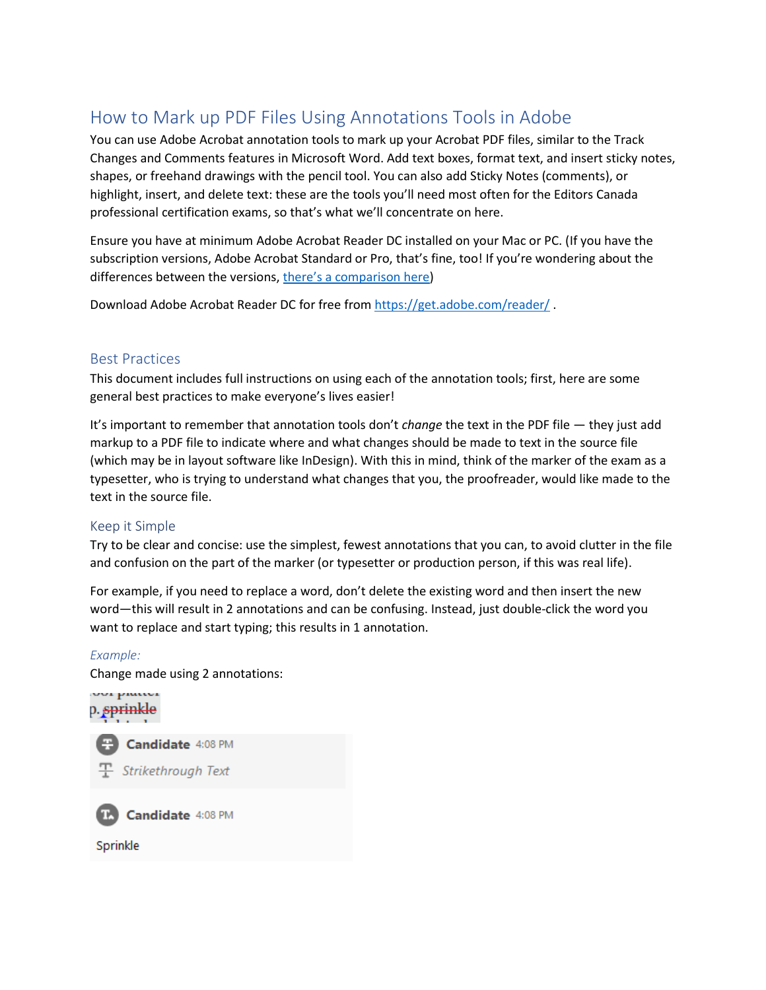# How to Mark up PDF Files Using Annotations Tools in Adobe

You can use Adobe Acrobat annotation tools to mark up your Acrobat PDF files, similar to the Track Changes and Comments features in Microsoft Word. Add text boxes, format text, and insert sticky notes, shapes, or freehand drawings with the pencil tool. You can also add Sticky Notes (comments), or highlight, insert, and delete text: these are the tools you'll need most often for the Editors Canada professional certification exams, so that's what we'll concentrate on here.

Ensure you have at minimum Adobe Acrobat Reader DC installed on your Mac or PC. (If you have the subscription versions, Adobe Acrobat Standard or Pro, that's fine, too! If you're wondering about the differences between the versions, [there's a comparison here](https://www.adobe.com/ca/acrobat/pdf-reader.html))

Download Adobe Acrobat Reader DC for free from<https://get.adobe.com/reader/> .

#### Best Practices

This document includes full instructions on using each of the annotation tools; first, here are some general best practices to make everyone's lives easier!

It's important to remember that annotation tools don't *change* the text in the PDF file — they just add markup to a PDF file to indicate where and what changes should be made to text in the source file (which may be in layout software like InDesign). With this in mind, think of the marker of the exam as a typesetter, who is trying to understand what changes that you, the proofreader, would like made to the text in the source file.

#### Keep it Simple

Try to be clear and concise: use the simplest, fewest annotations that you can, to avoid clutter in the file and confusion on the part of the marker (or typesetter or production person, if this was real life).

For example, if you need to replace a word, don't delete the existing word and then insert the new word—this will result in 2 annotations and can be confusing. Instead, just double-click the word you want to replace and start typing; this results in 1 annotation.

#### *Example:*

Change made using 2 annotations:

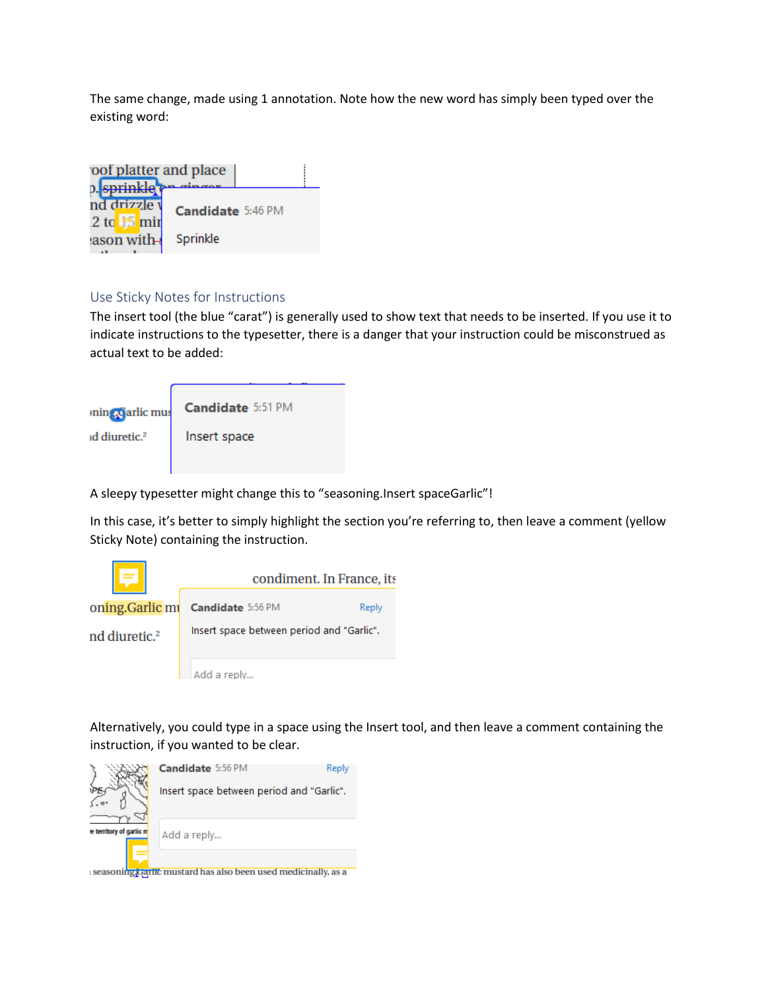The same change, made using 1 annotation. Note how the new word has simply been typed over the existing word:

| oof platter and place<br>0. sprinkle provincer |                          |  |
|------------------------------------------------|--------------------------|--|
| nd drizzle v<br>2 to $\frac{1}{2}$ min         | <b>Candidate</b> 5:46 PM |  |
| ason with-                                     | Sprinkle                 |  |

#### Use Sticky Notes for Instructions

The insert tool (the blue "carat") is generally used to show text that needs to be inserted. If you use it to indicate instructions to the typesetter, there is a danger that your instruction could be misconstrued as actual text to be added:

| min <sub>2</sub> , carlic mus | Candidate 5:51 PM |
|-------------------------------|-------------------|
| id diuretic. <sup>2</sup>     | Insert space      |
|                               |                   |

A sleepy typesetter might change this to "seasoning.Insert spaceGarlic"!

In this case, it's better to simply highlight the section you're referring to, then leave a comment (yellow Sticky Note) containing the instruction.



Alternatively, you could type in a space using the Insert tool, and then leave a comment containing the instruction, if you wanted to be clear.

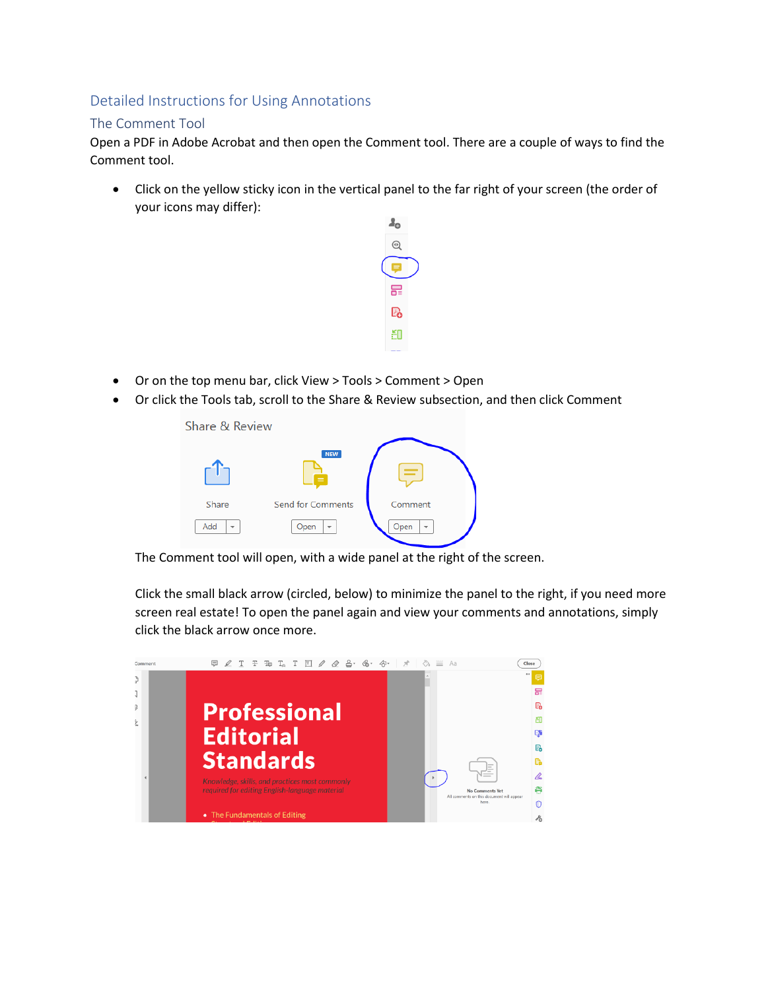## Detailed Instructions for Using Annotations

### The Comment Tool

Open a PDF in Adobe Acrobat and then open the Comment tool. There are a couple of ways to find the Comment tool.

• Click on the yellow sticky icon in the vertical panel to the far right of your screen (the order of your icons may differ):



- Or on the top menu bar, click View > Tools > Comment > Open
- Or click the Tools tab, scroll to the Share & Review subsection, and then click Comment



The Comment tool will open, with a wide panel at the right of the screen.

Click the small black arrow (circled, below) to minimize the panel to the right, if you need more screen real estate! To open the panel again and view your comments and annotations, simply click the black arrow once more.

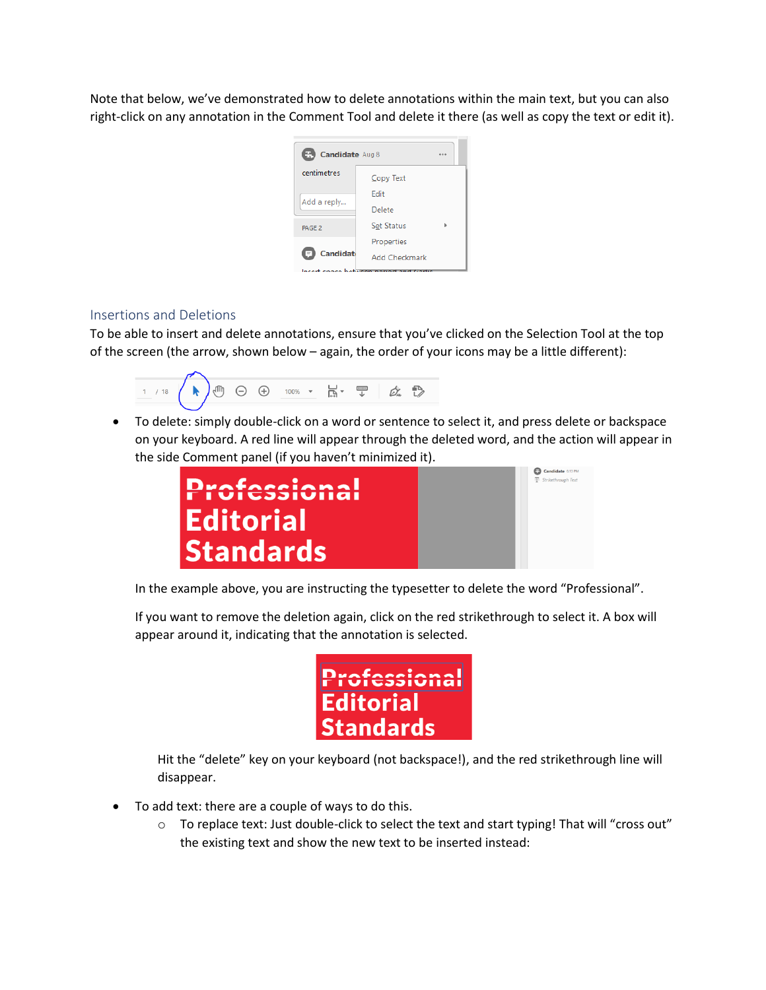Note that below, we've demonstrated how to delete annotations within the main text, but you can also right-click on any annotation in the Comment Tool and delete it there (as well as copy the text or edit it).

| Œ.<br>Candidate Aug 8 |                      |  |  |  |
|-----------------------|----------------------|--|--|--|
| centimetres           | Copy Text            |  |  |  |
| Add a reply           | Fdit                 |  |  |  |
|                       | Delete               |  |  |  |
| PAGE <sub>2</sub>     | <b>Set Status</b>    |  |  |  |
|                       | Properties           |  |  |  |
| <b>Candidate</b>      | <b>Add Checkmark</b> |  |  |  |
| lacert conce between  |                      |  |  |  |

#### Insertions and Deletions

To be able to insert and delete annotations, ensure that you've clicked on the Selection Tool at the top of the screen (the arrow, shown below – again, the order of your icons may be a little different):



• To delete: simply double-click on a word or sentence to select it, and press delete or backspace on your keyboard. A red line will appear through the deleted word, and the action will appear in the side Comment panel (if you haven't minimized it).



In the example above, you are instructing the typesetter to delete the word "Professional".

If you want to remove the deletion again, click on the red strikethrough to select it. A box will appear around it, indicating that the annotation is selected.

| Professional     |
|------------------|
| Editorial        |
| <b>Standards</b> |

Hit the "delete" key on your keyboard (not backspace!), and the red strikethrough line will disappear.

- To add text: there are a couple of ways to do this.
	- $\circ$  To replace text: Just double-click to select the text and start typing! That will "cross out" the existing text and show the new text to be inserted instead: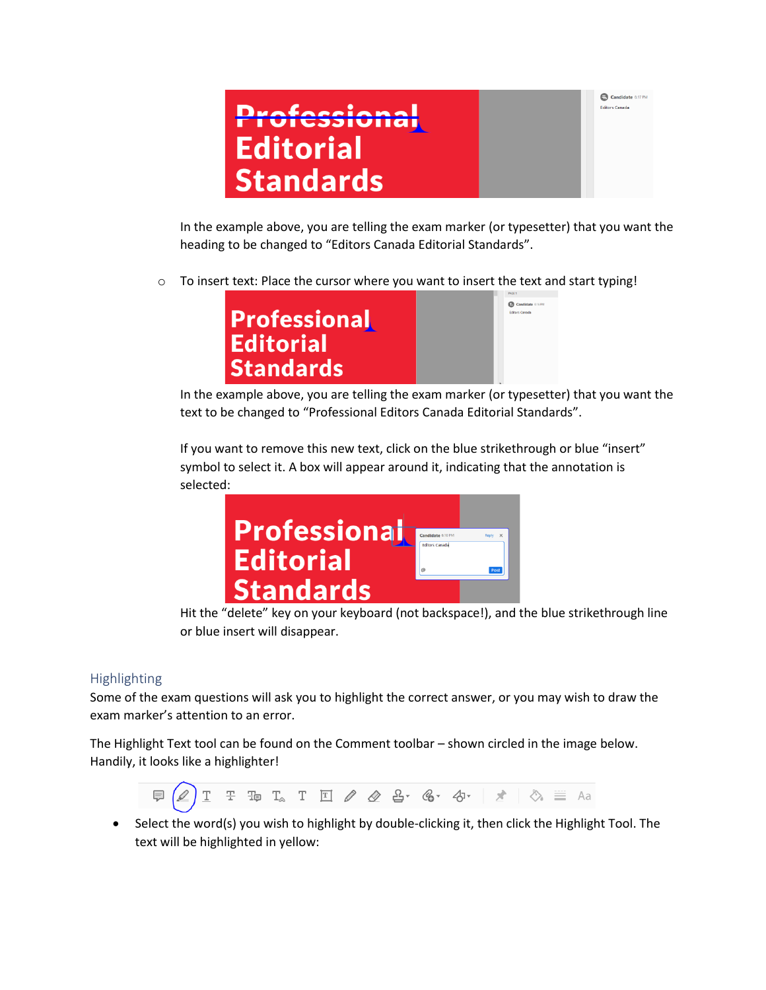

Candidate 6:17 PM **Editors Canada** 

In the example above, you are telling the exam marker (or typesetter) that you want the heading to be changed to "Editors Canada Editorial Standards".

o To insert text: Place the cursor where you want to insert the text and start typing!



In the example above, you are telling the exam marker (or typesetter) that you want the text to be changed to "Professional Editors Canada Editorial Standards".

If you want to remove this new text, click on the blue strikethrough or blue "insert" symbol to select it. A box will appear around it, indicating that the annotation is selected:



Hit the "delete" key on your keyboard (not backspace!), and the blue strikethrough line or blue insert will disappear.

#### Highlighting

Some of the exam questions will ask you to highlight the correct answer, or you may wish to draw the exam marker's attention to an error.

The Highlight Text tool can be found on the Comment toolbar – shown circled in the image below. Handily, it looks like a highlighter!



• Select the word(s) you wish to highlight by double-clicking it, then click the Highlight Tool. The text will be highlighted in yellow: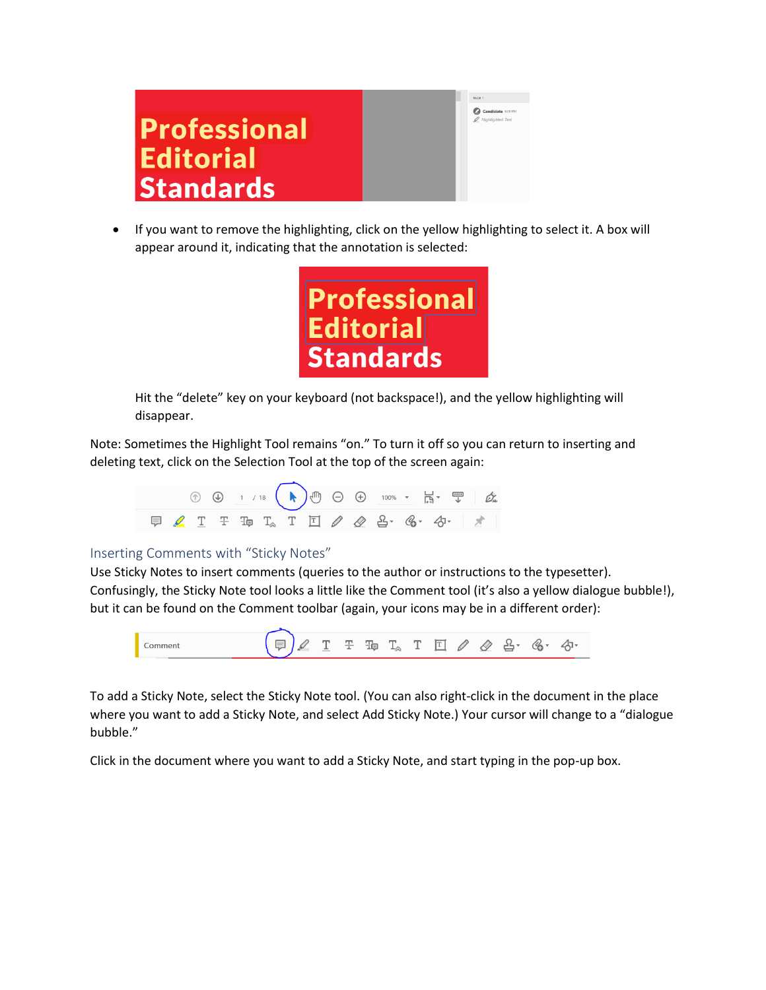# **Professional Editorial Standards**

• If you want to remove the highlighting, click on the yellow highlighting to select it. A box will appear around it, indicating that the annotation is selected:



Hit the "delete" key on your keyboard (not backspace!), and the yellow highlighting will disappear.

Note: Sometimes the Highlight Tool remains "on." To turn it off so you can return to inserting and deleting text, click on the Selection Tool at the top of the screen again:



#### Inserting Comments with "Sticky Notes"

Use Sticky Notes to insert comments (queries to the author or instructions to the typesetter). Confusingly, the Sticky Note tool looks a little like the Comment tool (it's also a yellow dialogue bubble!), but it can be found on the Comment toolbar (again, your icons may be in a different order):



To add a Sticky Note, select the Sticky Note tool. (You can also right-click in the document in the place where you want to add a Sticky Note, and select Add Sticky Note.) Your cursor will change to a "dialogue bubble."

Click in the document where you want to add a Sticky Note, and start typing in the pop-up box.